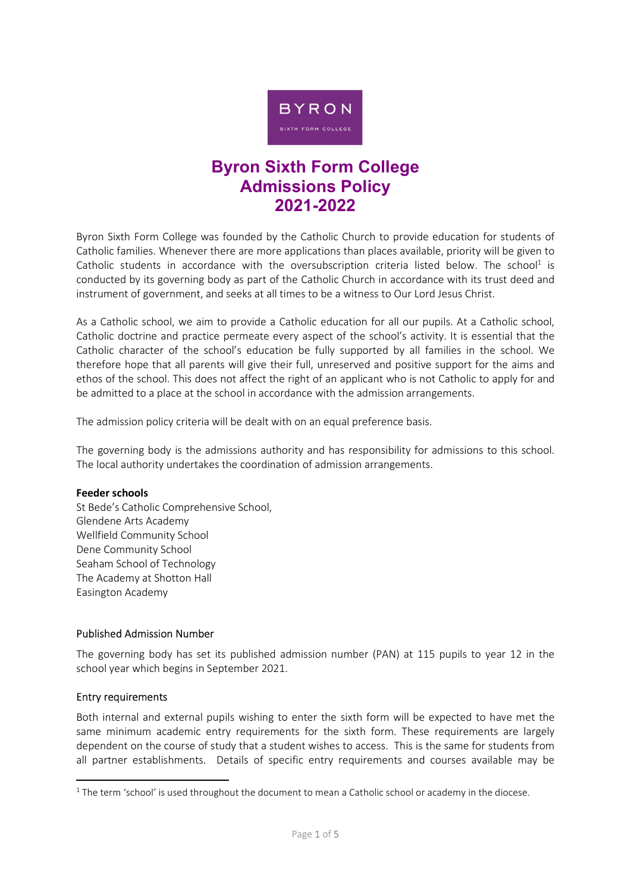

# Byron Sixth Form College Admissions Policy 2021-2022

Byron Sixth Form College was founded by the Catholic Church to provide education for students of Catholic families. Whenever there are more applications than places available, priority will be given to Catholic students in accordance with the oversubscription criteria listed below. The school<sup>1</sup> is conducted by its governing body as part of the Catholic Church in accordance with its trust deed and instrument of government, and seeks at all times to be a witness to Our Lord Jesus Christ.

As a Catholic school, we aim to provide a Catholic education for all our pupils. At a Catholic school, Catholic doctrine and practice permeate every aspect of the school's activity. It is essential that the Catholic character of the school's education be fully supported by all families in the school. We therefore hope that all parents will give their full, unreserved and positive support for the aims and ethos of the school. This does not affect the right of an applicant who is not Catholic to apply for and be admitted to a place at the school in accordance with the admission arrangements.

The admission policy criteria will be dealt with on an equal preference basis.

The governing body is the admissions authority and has responsibility for admissions to this school. The local authority undertakes the coordination of admission arrangements.

#### Feeder schools

St Bede's Catholic Comprehensive School, Glendene Arts Academy Wellfield Community School Dene Community School Seaham School of Technology The Academy at Shotton Hall Easington Academy

## Published Admission Number

The governing body has set its published admission number (PAN) at 115 pupils to year 12 in the school year which begins in September 2021.

#### Entry requirements

Both internal and external pupils wishing to enter the sixth form will be expected to have met the same minimum academic entry requirements for the sixth form. These requirements are largely dependent on the course of study that a student wishes to access. This is the same for students from all partner establishments. Details of specific entry requirements and courses available may be

 $1$  The term 'school' is used throughout the document to mean a Catholic school or academy in the diocese.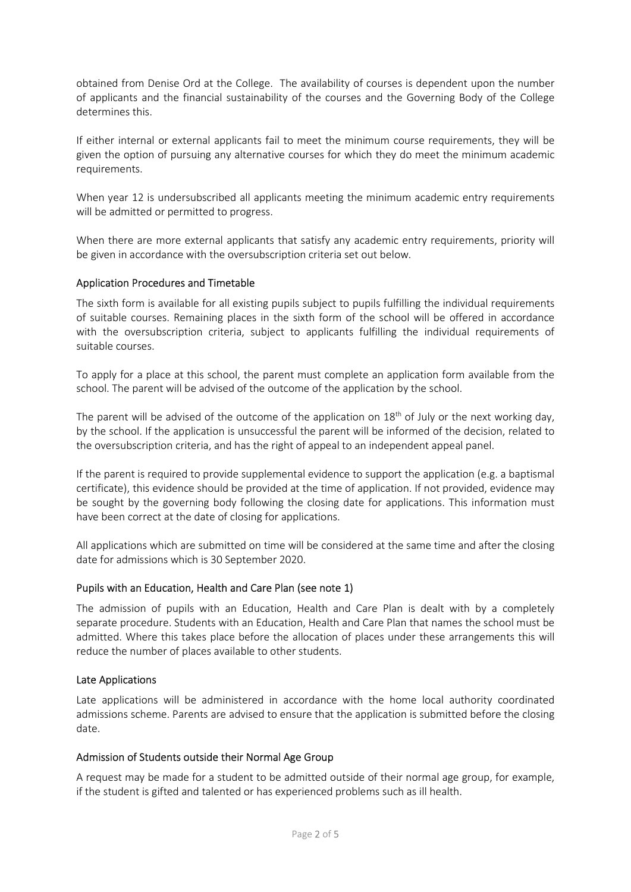obtained from Denise Ord at the College. The availability of courses is dependent upon the number of applicants and the financial sustainability of the courses and the Governing Body of the College determines this.

If either internal or external applicants fail to meet the minimum course requirements, they will be given the option of pursuing any alternative courses for which they do meet the minimum academic requirements.

When year 12 is undersubscribed all applicants meeting the minimum academic entry requirements will be admitted or permitted to progress.

When there are more external applicants that satisfy any academic entry requirements, priority will be given in accordance with the oversubscription criteria set out below.

### Application Procedures and Timetable

The sixth form is available for all existing pupils subject to pupils fulfilling the individual requirements of suitable courses. Remaining places in the sixth form of the school will be offered in accordance with the oversubscription criteria, subject to applicants fulfilling the individual requirements of suitable courses.

To apply for a place at this school, the parent must complete an application form available from the school. The parent will be advised of the outcome of the application by the school.

The parent will be advised of the outcome of the application on  $18<sup>th</sup>$  of July or the next working day, by the school. If the application is unsuccessful the parent will be informed of the decision, related to the oversubscription criteria, and has the right of appeal to an independent appeal panel.

If the parent is required to provide supplemental evidence to support the application (e.g. a baptismal certificate), this evidence should be provided at the time of application. If not provided, evidence may be sought by the governing body following the closing date for applications. This information must have been correct at the date of closing for applications.

All applications which are submitted on time will be considered at the same time and after the closing date for admissions which is 30 September 2020.

#### Pupils with an Education, Health and Care Plan (see note 1)

The admission of pupils with an Education, Health and Care Plan is dealt with by a completely separate procedure. Students with an Education, Health and Care Plan that names the school must be admitted. Where this takes place before the allocation of places under these arrangements this will reduce the number of places available to other students.

#### Late Applications

Late applications will be administered in accordance with the home local authority coordinated admissions scheme. Parents are advised to ensure that the application is submitted before the closing date.

#### Admission of Students outside their Normal Age Group

A request may be made for a student to be admitted outside of their normal age group, for example, if the student is gifted and talented or has experienced problems such as ill health.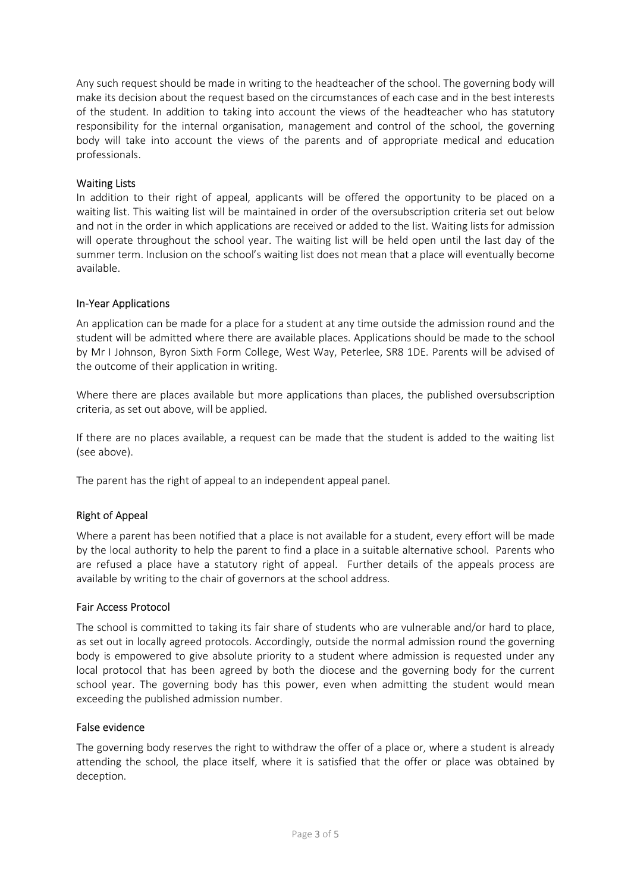Any such request should be made in writing to the headteacher of the school. The governing body will make its decision about the request based on the circumstances of each case and in the best interests of the student. In addition to taking into account the views of the headteacher who has statutory responsibility for the internal organisation, management and control of the school, the governing body will take into account the views of the parents and of appropriate medical and education professionals.

## Waiting Lists

In addition to their right of appeal, applicants will be offered the opportunity to be placed on a waiting list. This waiting list will be maintained in order of the oversubscription criteria set out below and not in the order in which applications are received or added to the list. Waiting lists for admission will operate throughout the school year. The waiting list will be held open until the last day of the summer term. Inclusion on the school's waiting list does not mean that a place will eventually become available.

## In-Year Applications

An application can be made for a place for a student at any time outside the admission round and the student will be admitted where there are available places. Applications should be made to the school by Mr I Johnson, Byron Sixth Form College, West Way, Peterlee, SR8 1DE. Parents will be advised of the outcome of their application in writing.

Where there are places available but more applications than places, the published oversubscription criteria, as set out above, will be applied.

If there are no places available, a request can be made that the student is added to the waiting list (see above).

The parent has the right of appeal to an independent appeal panel.

## Right of Appeal

Where a parent has been notified that a place is not available for a student, every effort will be made by the local authority to help the parent to find a place in a suitable alternative school. Parents who are refused a place have a statutory right of appeal. Further details of the appeals process are available by writing to the chair of governors at the school address.

#### Fair Access Protocol

The school is committed to taking its fair share of students who are vulnerable and/or hard to place, as set out in locally agreed protocols. Accordingly, outside the normal admission round the governing body is empowered to give absolute priority to a student where admission is requested under any local protocol that has been agreed by both the diocese and the governing body for the current school year. The governing body has this power, even when admitting the student would mean exceeding the published admission number.

#### False evidence

The governing body reserves the right to withdraw the offer of a place or, where a student is already attending the school, the place itself, where it is satisfied that the offer or place was obtained by deception.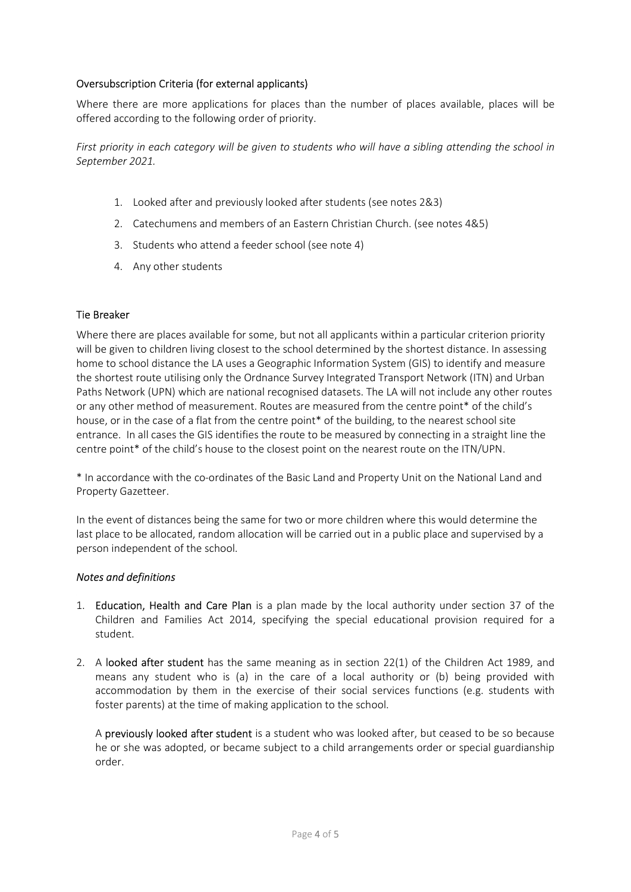## Oversubscription Criteria (for external applicants)

Where there are more applications for places than the number of places available, places will be offered according to the following order of priority.

First priority in each category will be given to students who will have a sibling attending the school in September 2021.

- 1. Looked after and previously looked after students (see notes 2&3)
- 2. Catechumens and members of an Eastern Christian Church. (see notes 4&5)
- 3. Students who attend a feeder school (see note 4)
- 4. Any other students

## Tie Breaker

Where there are places available for some, but not all applicants within a particular criterion priority will be given to children living closest to the school determined by the shortest distance. In assessing home to school distance the LA uses a Geographic Information System (GIS) to identify and measure the shortest route utilising only the Ordnance Survey Integrated Transport Network (ITN) and Urban Paths Network (UPN) which are national recognised datasets. The LA will not include any other routes or any other method of measurement. Routes are measured from the centre point\* of the child's house, or in the case of a flat from the centre point\* of the building, to the nearest school site entrance. In all cases the GIS identifies the route to be measured by connecting in a straight line the centre point\* of the child's house to the closest point on the nearest route on the ITN/UPN.

\* In accordance with the co-ordinates of the Basic Land and Property Unit on the National Land and Property Gazetteer.

In the event of distances being the same for two or more children where this would determine the last place to be allocated, random allocation will be carried out in a public place and supervised by a person independent of the school.

## Notes and definitions

- 1. Education, Health and Care Plan is a plan made by the local authority under section 37 of the Children and Families Act 2014, specifying the special educational provision required for a student.
- 2. A looked after student has the same meaning as in section  $22(1)$  of the Children Act 1989, and means any student who is (a) in the care of a local authority or (b) being provided with accommodation by them in the exercise of their social services functions (e.g. students with foster parents) at the time of making application to the school.

A previously looked after student is a student who was looked after, but ceased to be so because he or she was adopted, or became subject to a child arrangements order or special guardianship order.